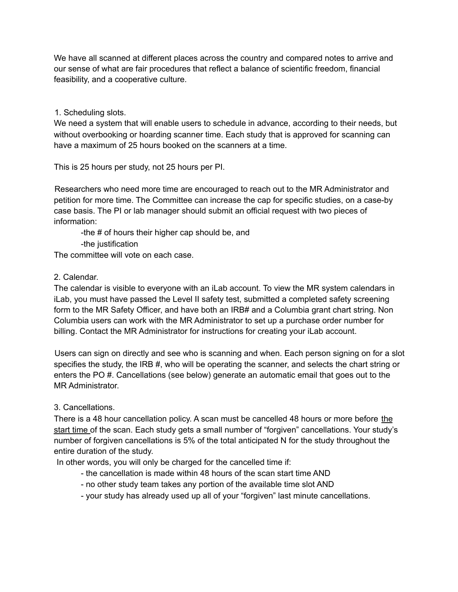We have all scanned at different places across the country and compared notes to arrive and our sense of what are fair procedures that reflect a balance of scientific freedom, financial feasibility, and a cooperative culture.

1. Scheduling slots.

We need a system that will enable users to schedule in advance, according to their needs, but without overbooking or hoarding scanner time. Each study that is approved for scanning can have a maximum of 25 hours booked on the scanners at a time.

This is 25 hours per study, not 25 hours per PI.

Researchers who need more time are encouraged to reach out to the MR Administrator and petition for more time. The Committee can increase the cap for specific studies, on a case-by case basis. The PI or lab manager should submit an official request with two pieces of information:

-the # of hours their higher cap should be, and

-the justification

The committee will vote on each case.

# 2. Calendar.

The calendar is visible to everyone with an iLab account. To view the MR system calendars in iLab, you must have passed the Level II safety test, submitted a completed safety screening form to the MR Safety Officer, and have both an IRB# and a Columbia grant chart string. Non Columbia users can work with the MR Administrator to set up a purchase order number for billing. Contact the MR Administrator for instructions for creating your iLab account.

Users can sign on directly and see who is scanning and when. Each person signing on for a slot specifies the study, the IRB #, who will be operating the scanner, and selects the chart string or enters the PO #. Cancellations (see below) generate an automatic email that goes out to the MR Administrator.

3. Cancellations.

There is a 48 hour cancellation policy. A scan must be cancelled 48 hours or more before the start time of the scan. Each study gets a small number of "forgiven" cancellations. Your study's number of forgiven cancellations is 5% of the total anticipated N for the study throughout the entire duration of the study.

In other words, you will only be charged for the cancelled time if:

- the cancellation is made within 48 hours of the scan start time AND
- no other study team takes any portion of the available time slot AND
- your study has already used up all of your "forgiven" last minute cancellations.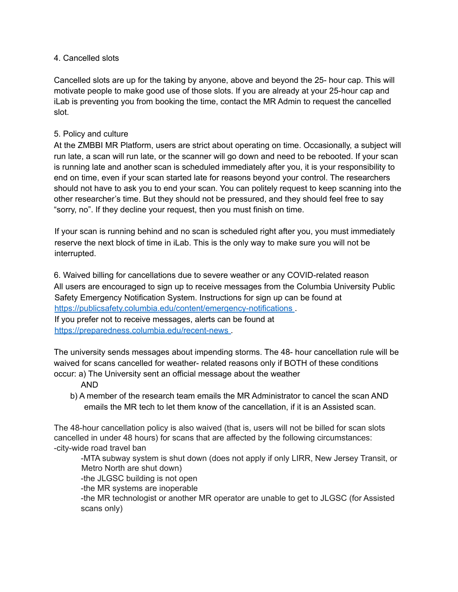#### 4. Cancelled slots

Cancelled slots are up for the taking by anyone, above and beyond the 25- hour cap. This will motivate people to make good use of those slots. If you are already at your 25-hour cap and iLab is preventing you from booking the time, contact the MR Admin to request the cancelled slot.

## 5. Policy and culture

At the ZMBBI MR Platform, users are strict about operating on time. Occasionally, a subject will run late, a scan will run late, or the scanner will go down and need to be rebooted. If your scan is running late and another scan is scheduled immediately after you, it is your responsibility to end on time, even if your scan started late for reasons beyond your control. The researchers should not have to ask you to end your scan. You can politely request to keep scanning into the other researcher's time. But they should not be pressured, and they should feel free to say "sorry, no". If they decline your request, then you must finish on time.

If your scan is running behind and no scan is scheduled right after you, you must immediately reserve the next block of time in iLab. This is the only way to make sure you will not be interrupted.

6. Waived billing for cancellations due to severe weather or any COVID-related reason All users are encouraged to sign up to receive messages from the Columbia University Public Safety Emergency Notification System. Instructions for sign up can be found at https://publicsafety.columbia.edu/content/emergency-notifications If you prefer not to receive messages, alerts can be found at https://preparedness.columbia.edu/recent-news .

The university sends messages about impending storms. The 48- hour cancellation rule will be waived for scans cancelled for weather- related reasons only if BOTH of these conditions occur: a) The University sent an official message about the weather

#### AND

b) A member of the research team emails the MR Administrator to cancel the scan AND emails the MR tech to let them know of the cancellation, if it is an Assisted scan.

The 48-hour cancellation policy is also waived (that is, users will not be billed for scan slots cancelled in under 48 hours) for scans that are affected by the following circumstances: -city-wide road travel ban

-MTA subway system is shut down (does not apply if only LIRR, New Jersey Transit, or Metro North are shut down)

-the JLGSC building is not open

-the MR systems are inoperable

-the MR technologist or another MR operator are unable to get to JLGSC (for Assisted scans only)